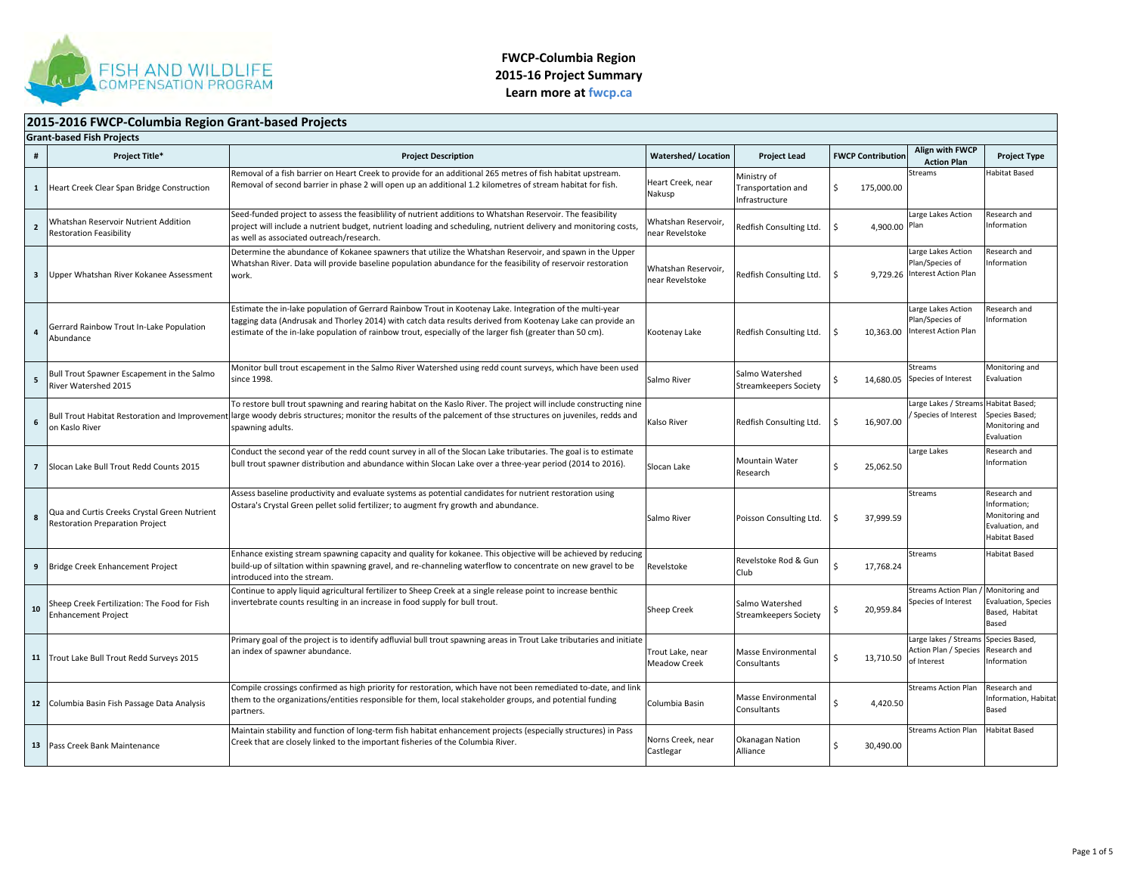

#### **2015‐2016 FWCP‐Columbia Region Grant‐based Projects Grant‐based Fish Projects # Project Title\* Project Description Watershed/ Location Project Lead FWCP Contribution Align with FWCP ActionAlign with FWCP**<br>Action Plan<br>**Project Type 1** Heart Creek Clear Span Bridge Construction Removal of a fish barrier on Heart Creek to provide for an additional 265 metres of fish habitat upstream. Removal of second barrier in phase 2 will open up an additional 1.2 kilometres of stream habitat for fish. Heart Creek, near Nakusp Ministry of Transportation and Infrastructure\$ 175,000.00 Streams Habitat Based**2**Whatshan Reservoir Nutrient Addition Restoration Feasibility Seed‐funded project to assess the feasiblility of nutrient additions to Whatshan Reservoir. The feasibility project will include <sup>a</sup> nutrient budget, nutrient loading and scheduling, nutrient delivery and monitoring costs, as well as associated outreach/research. Whatshan Reservoir, near RevelstokeRedfish Consulting Ltd. \$ Large Lakes Action Plan Research and nformation **3** Upper Whatshan River Kokanee Assessment Determine the abundance of Kokanee spawners that utilize the Whatshan Reservoir, and spawn in the Upper Whatshan River. Data will provide baseline population abundance for the feasibility of reservoir restoration work.Whatshan Reservoir, near RevelstokeRedfish Consulting Ltd. Large Lakes Action Plan/Species of Interest Action Plan Research and Information**4**Gerrard Rainbow Trout In‐Lake Population AbundanceEstimate the in‐lake population of Gerrard Rainbow Trout in Kootenay Lake. Integration of the multi‐year tagging data (Andrusak and Thorley 2014) with catch data results derived from Kootenay Lake can provide an estimate of the in-lake population of rainbow trout, especially of the larger fish (greater than 50 cm). Kootenay Lake Redfish Consulting Ltd. S 10,363.00 Large Lakes Action Plan/Species of Interest Action Plan Research and Information**5**Bull Trout Spawner Escapement in the Salmo River Watershed 2015 Monitor bull trout escapement in the Salmo River Watershed using redd count surveys, which have been used since 1998. 1998. SalmoSalmo River Salmo Watershed Salmo River Society Salmo River Society Salmo River Salmo River Salmo Ri Streams Species of Interest Monitoring and Evaluation**6** Bull Trout Habitat Restoration and Improvement on Kaslo River To restore bull trout spawning and rearing habitat on the Kaslo River. The project will include constructing nine large woody debris structures; monitor the results of the palcement of thse structures on juveniles, redds and spawning adults. Consulting Ltd.  $\begin{bmatrix} 5 & 16 & 907.00 \\ 8 & 16 & 907.00 \\ 1 & 16 & 907.00 \\ 1 & 16 & 16 & 907.00 \\ 1 & 16 & 16 & 907.00 \\ 1 & 16 & 16 & 907.00 \\ 1 & 16 & 16 & 907.00 \\ 1 & 16 & 16 & 907.00 \\ 1 & 16 & 16 & 907.00 \\ 1 & 16 & 16 & 907.00 \\ 1 &$ Large Lakes / Stream Species of Interest Habitat Based; pecies Based; Monitoring and Evaluation**7** Slocan Lake Bull Trout Redd Counts 2015 Conduct the second year of the redd count survey in all of the Slocan Lake tributaries. The goal is to estimate bull trout spawner distribution and abundance within Slocan Lake over a three-year period (2014 to 2016). Slocan **Slocan Lake** Mountain Water 25,062.50 Large Lakes Research and Information**8** Qua and Curtis Creeks Crystal Green Nutrient Restoration Preparation Project Assess baseline productivity and evaluate systems as potential candidates for nutrient restoration using Ostara's Crystal Green pellet solid fertilizer; to augment fry growth and abundance. Salmo River Poisson Consulting Ltd. \$ 37,999.59 Streams Research and nformation: Monitoring and Evaluation, and Habitat Based**9** Bridge Creek Enhancement Project Enhance existing stream spawning capacity and quality for kokanee. This objective will be achieved by reducing build‐up of siltation within spawning gravel, and re‐channeling waterflow to concentrate on new gravel to be introduced into the stream. RevelstokeRevelstoke Rod <mark>& Gun</mark><br>Club \$ 17,768.24 Streams Habitat Based**10**Sheep Creek Fertilization: The Food for Fish **Enhancement Project** Continue to apply liquid agricultural fertilizer to Sheep Creek at <sup>a</sup> single release point to increase benthic invertebrate counts resulting in an increase in food supply for bull trout.<br>Sheep Creek Streamkeepers Society \$ 20,959.84 Streams Action Plan / Monitoring and Species of Interest Evaluation, Species Based, Habitat Based**11** Trout Lake Bull Trout Redd Surveys 2015 Primary goal of the project is to identify adfluvial bull trout spawning areas in Trout Lake tributaries and initiate an index of spawner abundance. The second second second second second second second second second second second second second second second second second second second second second second second second second second secon Meadow Creek Masse Environmental **Consultants**  \$ 13,710.50 Large lakes / Streams Action Plan / Species of InterestSpecies Based, Research and Information**12** Columbia Basin Fish Passage Data Analysis Compile crossings confirmed as high priority for restoration, which have not been remediated to‐date, and link them to the organizations/entities responsible for them, local stakeholder groups, and potential funding partners. Columbia BasinMasse Environmental<br>Consultants \$ 4,420.50 Streams ActionResearch and nformation, Habita Based**13** Pass Creek Bank MaintenanceMaintain stability and function of long‐term fish habitat enhancement projects (especially structures) in Pass Creek that are closely linked to the important fisheries of the Columbia River. Norns Creek, near Norns Creek, near Castlegar Okanagan Nation Alliance \$ 30,490.00 Streams ActionHabitat Based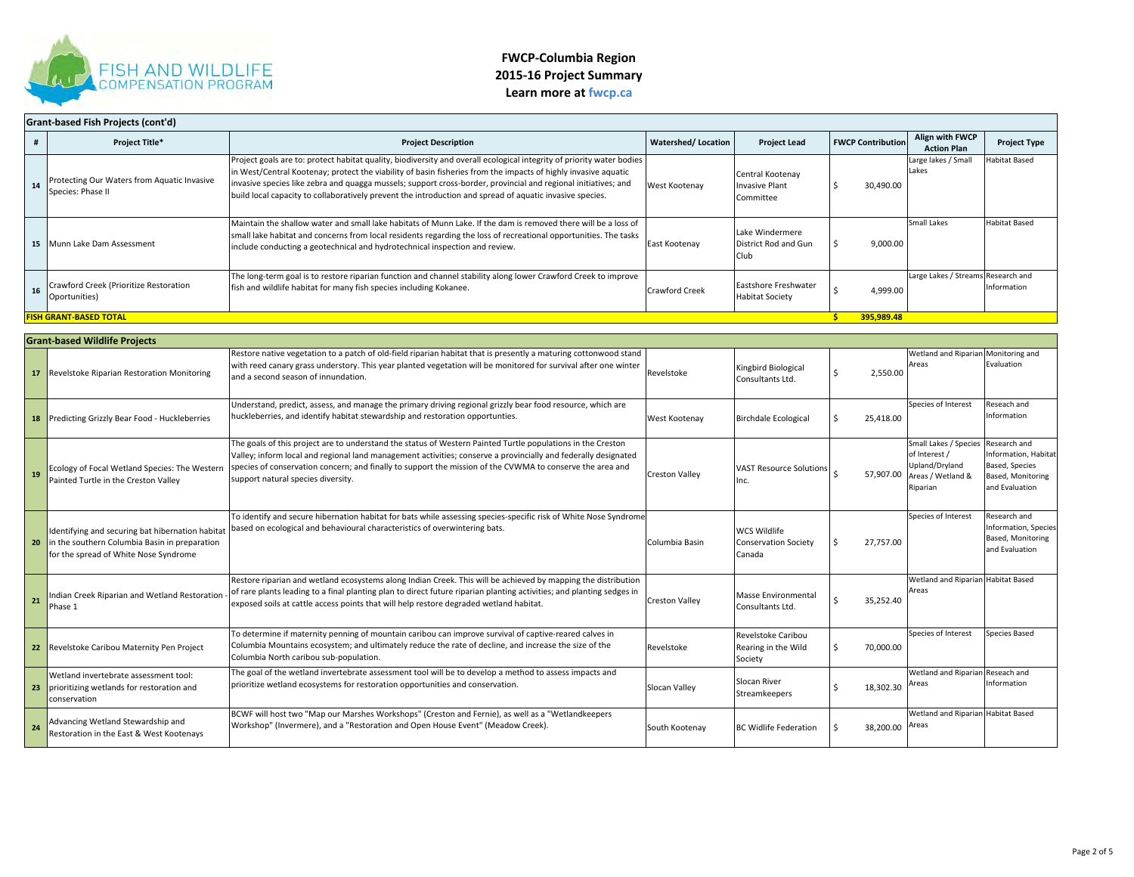

| Grant-based Fish Projects (cont'd) |                                                                  |                                                                                                                                                                                                                                                                                                                                                                                                                                                                       |                           |                                                        |                          |                                       |                      |  |  |
|------------------------------------|------------------------------------------------------------------|-----------------------------------------------------------------------------------------------------------------------------------------------------------------------------------------------------------------------------------------------------------------------------------------------------------------------------------------------------------------------------------------------------------------------------------------------------------------------|---------------------------|--------------------------------------------------------|--------------------------|---------------------------------------|----------------------|--|--|
|                                    | <b>Project Title*</b>                                            | <b>Project Description</b>                                                                                                                                                                                                                                                                                                                                                                                                                                            | <b>Watershed/Location</b> | <b>Project Lead</b>                                    | <b>FWCP Contribution</b> | Align with FWCP<br><b>Action Plan</b> | <b>Project Type</b>  |  |  |
| 14                                 | Protecting Our Waters from Aquatic Invasive<br>Species: Phase II | Project goals are to: protect habitat quality, biodiversity and overall ecological integrity of priority water bodies<br>in West/Central Kootenay; protect the viability of basin fisheries from the impacts of highly invasive aquatic<br>invasive species like zebra and quagga mussels; support cross-border, provincial and regional initiatives; and<br>build local capacity to collaboratively prevent the introduction and spread of aquatic invasive species. | West Kootenay             | Central Kootenay<br>Invasive Plant<br>Committee        | 30,490.00                | Large lakes / Small<br>Lakes          | Habitat Based        |  |  |
|                                    | 15 Munn Lake Dam Assessment                                      | Maintain the shallow water and small lake habitats of Munn Lake. If the dam is removed there will be a loss of<br>small lake habitat and concerns from local residents regarding the loss of recreational opportunities. The tasks<br>include conducting a geotechnical and hydrotechnical inspection and review.                                                                                                                                                     | East Kootenay             | Lake Windermere<br>District Rod and Gun<br><b>Club</b> | 9,000.00                 | Small Lakes                           | <b>Habitat Based</b> |  |  |
| 16                                 | Crawford Creek (Prioritize Restoration<br>Oportunities)          | The long-term goal is to restore riparian function and channel stability along lower Crawford Creek to improve<br>fish and wildlife habitat for many fish species including Kokanee.                                                                                                                                                                                                                                                                                  | <b>Crawford Creek</b>     | Eastshore Freshwater<br><b>Habitat Society</b>         | 4,999.00                 | Large Lakes / Streams Research and    | Information          |  |  |
|                                    | <b>FISH GRANT-BASED TOTAL</b>                                    |                                                                                                                                                                                                                                                                                                                                                                                                                                                                       |                           |                                                        | 395,989.48               |                                       |                      |  |  |

|    | <b>Grant-based Wildlife Projects</b>                                                                                                       |                                                                                                                                                                                                                                                                                                                                                                                  |                       |                                                              |           |                                                                                                     |                                                                                                      |  |  |  |
|----|--------------------------------------------------------------------------------------------------------------------------------------------|----------------------------------------------------------------------------------------------------------------------------------------------------------------------------------------------------------------------------------------------------------------------------------------------------------------------------------------------------------------------------------|-----------------------|--------------------------------------------------------------|-----------|-----------------------------------------------------------------------------------------------------|------------------------------------------------------------------------------------------------------|--|--|--|
|    | 17 Revelstoke Riparian Restoration Monitoring                                                                                              | Restore native vegetation to a patch of old-field riparian habitat that is presently a maturing cottonwood stand<br>with reed canary grass understory. This year planted vegetation will be monitored for survival after one winter<br>and a second season of innundation.                                                                                                       | Revelstoke            | Kingbird Biological<br>Consultants Ltd.                      | 2,550.00  | Wetland and Riparian Monitoring and<br>Areas                                                        | Evaluation                                                                                           |  |  |  |
|    | <b>18</b> Predicting Grizzly Bear Food - Huckleberries                                                                                     | Understand, predict, assess, and manage the primary driving regional grizzly bear food resource, which are<br>huckleberries, and identify habitat stewardship and restoration opportunties.                                                                                                                                                                                      | West Kootenay         | <b>Birchdale Ecological</b>                                  | 25,418.00 | Species of Interest                                                                                 | Reseach and<br>Information                                                                           |  |  |  |
| 19 | Ecology of Focal Wetland Species: The Western<br>Painted Turtle in the Creston Valley                                                      | The goals of this project are to understand the status of Western Painted Turtle populations in the Creston<br>Valley; inform local and regional land management activities; conserve a provincially and federally designated<br>species of conservation concern; and finally to support the mission of the CVWMA to conserve the area and<br>support natural species diversity. | <b>Creston Valley</b> | <b>VAST Resource Solutions</b><br>Inc.                       |           | Small Lakes / Species<br>of Interest /<br>Upland/Drvland<br>57,907.00 Areas / Wetland &<br>Riparian | Research and<br>Information, Habitat<br><b>Based, Species</b><br>Based, Monitoring<br>and Evaluation |  |  |  |
| 20 | Identifying and securing bat hibernation habitat<br>in the southern Columbia Basin in preparation<br>for the spread of White Nose Syndrome | To identify and secure hibernation habitat for bats while assessing species-specific risk of White Nose Syndrome<br>based on ecological and behavioural characteristics of overwintering bats.                                                                                                                                                                                   | Columbia Basin        | <b>WCS Wildlife</b><br><b>Conservation Society</b><br>Canada | 27.757.00 | Species of Interest                                                                                 | Research and<br>Information, Species<br>Based, Monitoring<br>and Evaluation                          |  |  |  |
| 21 | Indian Creek Riparian and Wetland Restoration<br>Phase 1                                                                                   | Restore riparian and wetland ecosystems along Indian Creek. This will be achieved by mapping the distribution<br>of rare plants leading to a final planting plan to direct future riparian planting activities; and planting sedges in<br>exposed soils at cattle access points that will help restore degraded wetland habitat.                                                 | <b>Creston Valley</b> | <b>Masse Environmental</b><br>Consultants Ltd.               | 35.252.40 | Wetland and Riparian Habitat Based<br>Areas                                                         |                                                                                                      |  |  |  |
|    | 22 Revelstoke Caribou Maternity Pen Project                                                                                                | To determine if maternity penning of mountain caribou can improve survival of captive-reared calves in<br>Columbia Mountains ecosystem; and ultimately reduce the rate of decline, and increase the size of the<br>Columbia North caribou sub-population.                                                                                                                        | Revelstoke            | Revelstoke Caribou<br>Rearing in the Wild<br>Society         | 70,000.00 | Species of Interest                                                                                 | <b>Species Based</b>                                                                                 |  |  |  |
|    | Wetland invertebrate assessment tool:<br>23 prioritizing wetlands for restoration and<br>conservation                                      | The goal of the wetland invertebrate assessment tool will be to develop a method to assess impacts and<br>prioritize wetland ecosystems for restoration opportunities and conservation.                                                                                                                                                                                          | Slocan Valley         | Slocan River<br>Streamkeepers                                | 18,302.30 | Wetland and Riparian Reseach and<br>Areas                                                           | Information                                                                                          |  |  |  |
| 24 | Advancing Wetland Stewardship and<br>Restoration in the East & West Kootenays                                                              | BCWF will host two "Map our Marshes Workshops" (Creston and Fernie), as well as a "Wetlandkeepers<br>Workshop" (Invermere), and a "Restoration and Open House Event" (Meadow Creek).                                                                                                                                                                                             | South Kootenay        | <b>BC Widlife Federation</b>                                 | 38.200.00 | Wetland and Riparian Habitat Based<br>Areas                                                         |                                                                                                      |  |  |  |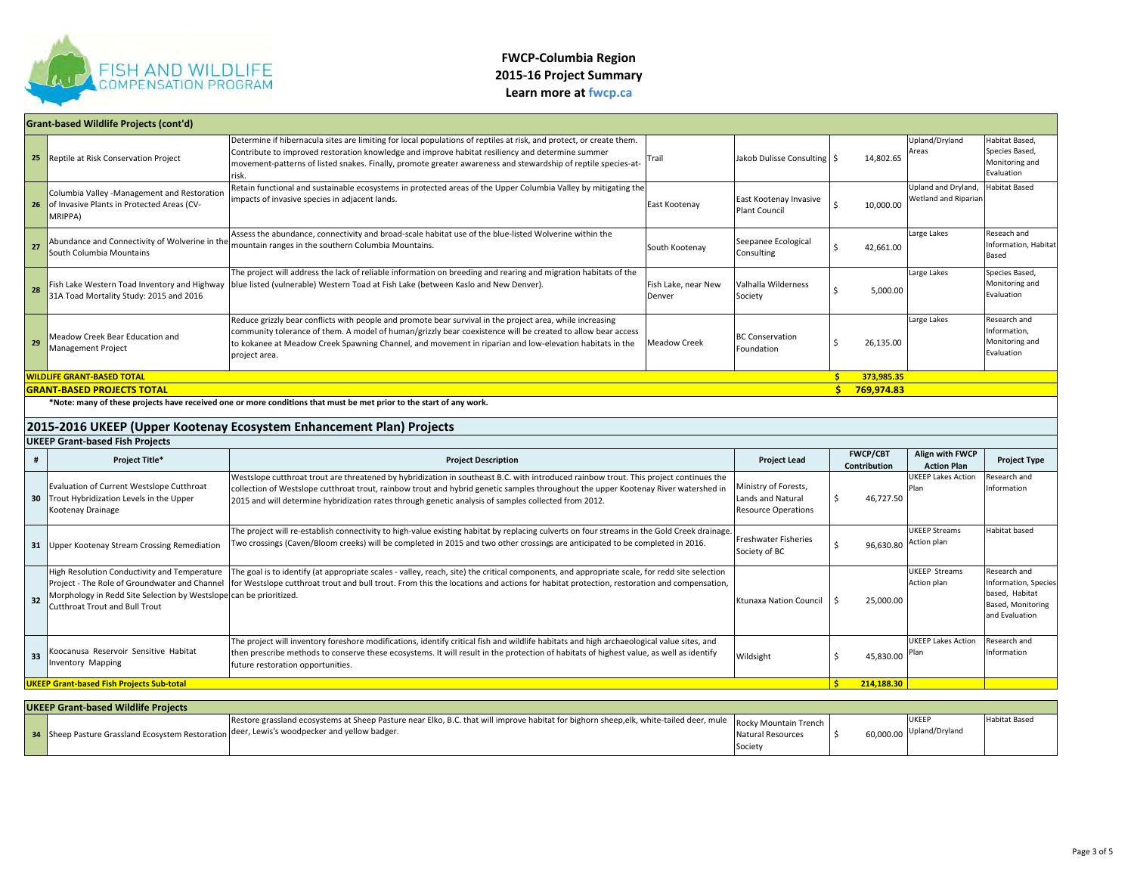

| Grant-based Wildlife Projects (cont'd)                               |                                                                                                                                                                                                       |                                                                                                                                                                                                                                                                                                                                                                                     |                               |                                                                         |                                 |                                                    |                                                                                               |  |  |
|----------------------------------------------------------------------|-------------------------------------------------------------------------------------------------------------------------------------------------------------------------------------------------------|-------------------------------------------------------------------------------------------------------------------------------------------------------------------------------------------------------------------------------------------------------------------------------------------------------------------------------------------------------------------------------------|-------------------------------|-------------------------------------------------------------------------|---------------------------------|----------------------------------------------------|-----------------------------------------------------------------------------------------------|--|--|
| 25                                                                   | Reptile at Risk Conservation Project                                                                                                                                                                  | Determine if hibernacula sites are limiting for local populations of reptiles at risk, and protect, or create them.<br>Contribute to improved restoration knowledge and improve habitat resiliency and determine summer<br>movement-patterns of listed snakes. Finally, promote greater awareness and stewardship of reptile species-at-<br>risk.                                   | Trail                         | Jakob Dulisse Consulting   \$                                           | 14,802.65                       | Upland/Dryland<br>Areas                            | Habitat Based,<br>Species Based,<br>Monitoring and<br>Evaluation                              |  |  |
| 26                                                                   | Columbia Valley -Management and Restoration<br>of Invasive Plants in Protected Areas (CV-<br>MRIPPA)                                                                                                  | Retain functional and sustainable ecosystems in protected areas of the Upper Columbia Valley by mitigating the<br>impacts of invasive species in adjacent lands.                                                                                                                                                                                                                    | East Kootenay                 | East Kootenay Invasive<br>Plant Council                                 | 10,000.00                       | Upland and Dryland,<br><b>Wetland and Ripariar</b> | labitat Based                                                                                 |  |  |
| 27                                                                   | Abundance and Connectivity of Wolverine in the<br>South Columbia Mountains                                                                                                                            | Assess the abundance, connectivity and broad-scale habitat use of the blue-listed Wolverine within the<br>mountain ranges in the southern Columbia Mountains.                                                                                                                                                                                                                       | South Kootenay                | Seepanee Ecological<br>Consulting                                       | 42,661.00<br>Ŝ.                 | Large Lakes                                        | Reseach and<br>Information, Habitat<br>Based                                                  |  |  |
| 28                                                                   | Fish Lake Western Toad Inventory and Highway<br>31A Toad Mortality Study: 2015 and 2016                                                                                                               | The project will address the lack of reliable information on breeding and rearing and migration habitats of the<br>blue listed (vulnerable) Western Toad at Fish Lake (between Kaslo and New Denver).                                                                                                                                                                               | Fish Lake, near New<br>Denver | Valhalla Wilderness<br>Society                                          | 5,000.00<br>Ś                   | Large Lakes                                        | Species Based,<br>Monitoring and<br>Evaluation                                                |  |  |
| 29                                                                   | Meadow Creek Bear Education and<br><b>Management Project</b>                                                                                                                                          | Reduce grizzly bear conflicts with people and promote bear survival in the project area, while increasing<br>community tolerance of them. A model of human/grizzly bear coexistence will be created to allow bear access<br>to kokanee at Meadow Creek Spawning Channel, and movement in riparian and low-elevation habitats in the<br>project area.                                | <b>Meadow Creek</b>           | <b>BC Conservation</b><br>Foundation                                    | Ŝ.<br>26,135.00                 | Large Lakes                                        | Research and<br>Information,<br>Monitoring and<br>Evaluation                                  |  |  |
|                                                                      | <b>WILDLIFE GRANT-BASED TOTAL</b>                                                                                                                                                                     |                                                                                                                                                                                                                                                                                                                                                                                     |                               |                                                                         | $\mathsf{S}$<br>373,985.35      |                                                    |                                                                                               |  |  |
|                                                                      | <b>GRANT-BASED PROJECTS TOTAL</b>                                                                                                                                                                     |                                                                                                                                                                                                                                                                                                                                                                                     |                               |                                                                         | $\mathsf{S}$<br>769.974.83      |                                                    |                                                                                               |  |  |
|                                                                      |                                                                                                                                                                                                       | *Note: many of these projects have received one or more conditions that must be met prior to the start of any work.                                                                                                                                                                                                                                                                 |                               |                                                                         |                                 |                                                    |                                                                                               |  |  |
|                                                                      |                                                                                                                                                                                                       |                                                                                                                                                                                                                                                                                                                                                                                     |                               |                                                                         |                                 |                                                    |                                                                                               |  |  |
| 2015-2016 UKEEP (Upper Kootenay Ecosystem Enhancement Plan) Projects |                                                                                                                                                                                                       |                                                                                                                                                                                                                                                                                                                                                                                     |                               |                                                                         |                                 |                                                    |                                                                                               |  |  |
|                                                                      | <b>UKEEP Grant-based Fish Projects</b>                                                                                                                                                                |                                                                                                                                                                                                                                                                                                                                                                                     |                               |                                                                         |                                 |                                                    |                                                                                               |  |  |
| #                                                                    | Project Title*                                                                                                                                                                                        | <b>Project Description</b>                                                                                                                                                                                                                                                                                                                                                          |                               | <b>Project Lead</b>                                                     | <b>FWCP/CBT</b><br>Contribution | Align with FWCP<br><b>Action Plan</b>              | <b>Project Type</b>                                                                           |  |  |
|                                                                      | Evaluation of Current Westslope Cutthroat<br>30 Trout Hybridization Levels in the Upper<br>Kootenay Drainage                                                                                          | Westslope cutthroat trout are threatened by hybridization in southeast B.C. with introduced rainbow trout. This project continues the<br>collection of Westslope cutthroat trout, rainbow trout and hybrid genetic samples throughout the upper Kootenay River watershed in<br>2015 and will determine hybridization rates through genetic analysis of samples collected from 2012. |                               | Ministry of Forests,<br>Lands and Natural<br><b>Resource Operations</b> | \$<br>46,727.50                 | <b>UKEEP Lakes Action</b><br>Plan                  | Research and<br>nformation                                                                    |  |  |
|                                                                      | 31 Upper Kootenay Stream Crossing Remediation                                                                                                                                                         | The project will re-establish connectivity to high-value existing habitat by replacing culverts on four streams in the Gold Creek drainage<br>Two crossings (Caven/Bloom creeks) will be completed in 2015 and two other crossings are anticipated to be completed in 2016.                                                                                                         |                               | Freshwater Fisheries<br>Society of BC                                   | 96,630.80<br>Ś                  | <b>UKEEP Streams</b><br>Action plan                | Habitat based                                                                                 |  |  |
| 32                                                                   | High Resolution Conductivity and Temperature<br>Project - The Role of Groundwater and Channel<br>Morphology in Redd Site Selection by Westslope can be prioritized.<br>Cutthroat Trout and Bull Trout | The goal is to identify (at appropriate scales - valley, reach, site) the critical components, and appropriate scale, for redd site selection<br>for Westslope cutthroat trout and bull trout. From this the locations and actions for habitat protection, restoration and compensation,                                                                                            |                               | Ktunaxa Nation Council                                                  | Ŝ.<br>25,000.00                 | <b>UKEEP Streams</b><br>Action plan                | Research and<br>Information, Species<br>based, Habitat<br>Based, Monitoring<br>and Evaluation |  |  |
| 33                                                                   | Koocanusa Reservoir Sensitive Habitat<br><b>Inventory Mapping</b>                                                                                                                                     | The project will inventory foreshore modifications, identify critical fish and wildlife habitats and high archaeological value sites, and<br>then prescribe methods to conserve these ecosystems. It will result in the protection of habitats of highest value, as well as identify<br>future restoration opportunities.                                                           |                               | Wildsight                                                               | \$<br>45,830.00                 | <b>UKEEP Lakes Action</b><br>Plan                  | Research and<br>Information                                                                   |  |  |
|                                                                      | <b>UKEEP Grant-based Fish Projects Sub-total</b>                                                                                                                                                      |                                                                                                                                                                                                                                                                                                                                                                                     |                               |                                                                         | S.<br>214,188.30                |                                                    |                                                                                               |  |  |
|                                                                      | <b>UKEEP Grant-based Wildlife Projects</b>                                                                                                                                                            |                                                                                                                                                                                                                                                                                                                                                                                     |                               |                                                                         |                                 |                                                    |                                                                                               |  |  |

| UKEEP Grant-based Wildlife Proiects |                                                                                                                                                                                                                                                                  |                              |  |  |                                          |               |  |  |
|-------------------------------------|------------------------------------------------------------------------------------------------------------------------------------------------------------------------------------------------------------------------------------------------------------------|------------------------------|--|--|------------------------------------------|---------------|--|--|
|                                     | Restore grassland ecosystems at Sheep Pasture near Elko, B.C. that will improve habitat for bighorn sheep,elk, white-tailed deer, mule   Rocky Mountain Trench  <br>34 Sheep Pasture Grassland Ecosystem Restoration deer, Lewis's woodpecker and yellow badger. | Natural Resources<br>Society |  |  | <b>UKEEI</b><br>60,000.00 Upland/Dryland | Habitat Based |  |  |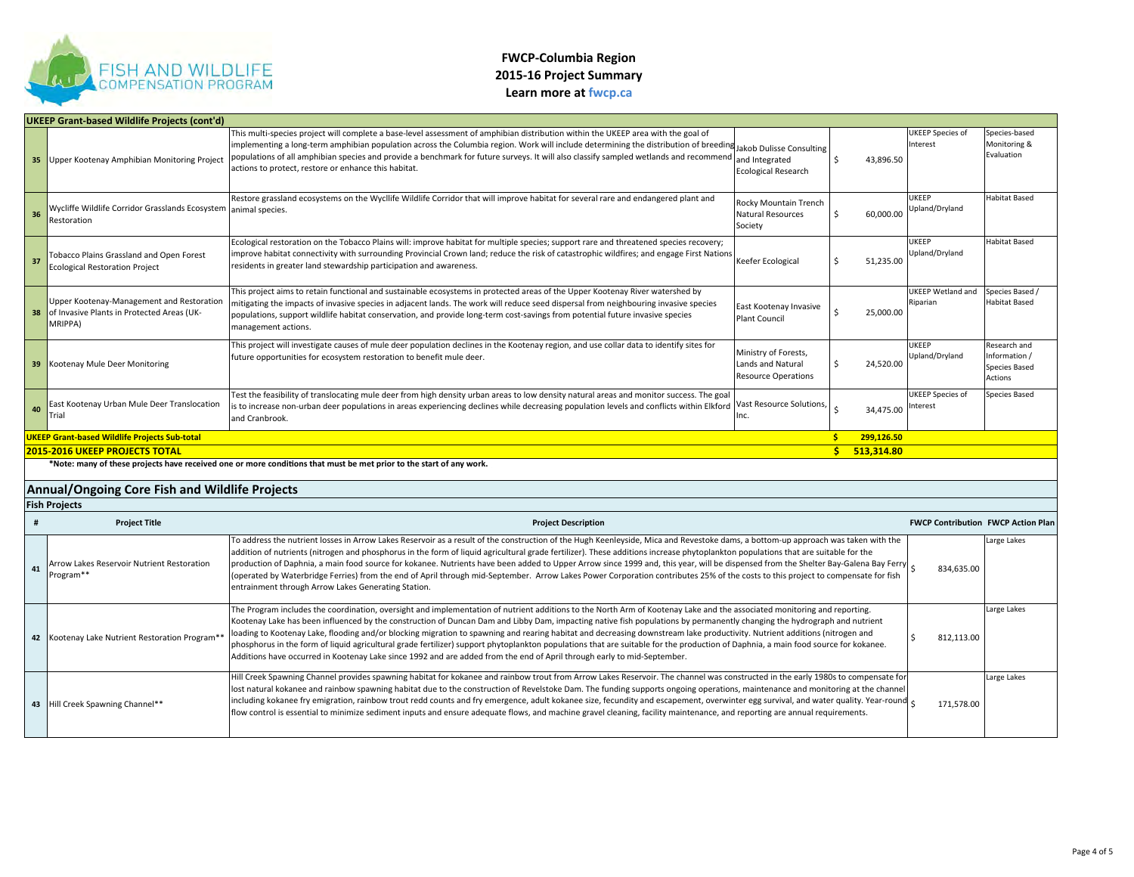

|    | <b>UKEEP Grant-based Wildlife Projects (cont'd)</b>                                                |                                                                                                                                                                                                                                                                                                                                                                                                                                                                                                                                                                                                                                                                                                                                                                                                                                                     |                                                                         |                  |                                           |                                                                  |
|----|----------------------------------------------------------------------------------------------------|-----------------------------------------------------------------------------------------------------------------------------------------------------------------------------------------------------------------------------------------------------------------------------------------------------------------------------------------------------------------------------------------------------------------------------------------------------------------------------------------------------------------------------------------------------------------------------------------------------------------------------------------------------------------------------------------------------------------------------------------------------------------------------------------------------------------------------------------------------|-------------------------------------------------------------------------|------------------|-------------------------------------------|------------------------------------------------------------------|
|    | <b>35 Upper Kootenay Amphibian Monitoring Project</b>                                              | This multi-species project will complete a base-level assessment of amphibian distribution within the UKEEP area with the goal of<br>implementing a long-term amphibian population across the Columbia region. Work will include determining the distribution of breeding Jakob Dulisse Consulting<br>populations of all amphibian species and provide a benchmark for future surveys. It will also classify sampled wetlands and recommend<br>actions to protect, restore or enhance this habitat.                                                                                                                                                                                                                                                                                                                                                 | and Integrated<br><b>Ecological Research</b>                            | 43,896.50<br>Ś.  | <b>JKEEP Species of</b><br>Interest       | Species-based<br>Monitoring &<br>Evaluation                      |
| 36 | Wycliffe Wildlife Corridor Grasslands Ecosystem<br>Restoration                                     | Restore grassland ecosystems on the Wycllife Wildlife Corridor that will improve habitat for several rare and endangered plant and<br>animal species.                                                                                                                                                                                                                                                                                                                                                                                                                                                                                                                                                                                                                                                                                               | Rocky Mountain Trench<br><b>Natural Resources</b><br>Society            | 60,000.00        | <b>JKEEP</b><br>Upland/Dryland            | Habitat Based                                                    |
| 37 | <b>Tobacco Plains Grassland and Open Forest</b><br><b>Ecological Restoration Project</b>           | Ecological restoration on the Tobacco Plains will: improve habitat for multiple species; support rare and threatened species recovery;<br>improve habitat connectivity with surrounding Provincial Crown land; reduce the risk of catastrophic wildfires; and engage First Nations<br>residents in greater land stewardship participation and awareness.                                                                                                                                                                                                                                                                                                                                                                                                                                                                                            | Keefer Ecological                                                       | 51,235.00        | <b>JKEEP</b><br>Upland/Dryland            | Habitat Based                                                    |
| 38 | Upper Kootenay-Management and Restoration<br>of Invasive Plants in Protected Areas (UK-<br>MRIPPA) | This project aims to retain functional and sustainable ecosystems in protected areas of the Upper Kootenay River watershed by<br>mitigating the impacts of invasive species in adjacent lands. The work will reduce seed dispersal from neighbouring invasive species<br>populations, support wildlife habitat conservation, and provide long-term cost-savings from potential future invasive species<br>management actions.                                                                                                                                                                                                                                                                                                                                                                                                                       | East Kootenay Invasive<br><b>Plant Council</b>                          | 25,000.00        | <b>JKEEP Wetland and</b><br>Riparian      | Species Based<br>Habitat Based                                   |
| 39 | Kootenay Mule Deer Monitoring                                                                      | This project will investigate causes of mule deer population declines in the Kootenay region, and use collar data to identify sites for<br>future opportunities for ecosystem restoration to benefit mule deer.                                                                                                                                                                                                                                                                                                                                                                                                                                                                                                                                                                                                                                     | Ministry of Forests,<br>Lands and Natural<br><b>Resource Operations</b> | 24,520.00        | <b>JKEEP</b><br>Upland/Dryland            | Research and<br>Information /<br><b>Species Based</b><br>Actions |
| 40 | East Kootenay Urban Mule Deer Translocation<br>Trial                                               | Test the feasibility of translocating mule deer from high density urban areas to low density natural areas and monitor success. The goal<br>is to increase non-urban deer populations in areas experiencing declines while decreasing population levels and conflicts within Elkford<br>and Cranbrook.                                                                                                                                                                                                                                                                                                                                                                                                                                                                                                                                              | Vast Resource Solutions,<br>Inc.                                        | 34.475.00        | JKEEP Species of<br>nterest               | Species Based                                                    |
|    |                                                                                                    |                                                                                                                                                                                                                                                                                                                                                                                                                                                                                                                                                                                                                                                                                                                                                                                                                                                     |                                                                         |                  |                                           |                                                                  |
|    | <b>UKEEP Grant-based Wildlife Projects Sub-total</b>                                               |                                                                                                                                                                                                                                                                                                                                                                                                                                                                                                                                                                                                                                                                                                                                                                                                                                                     |                                                                         | 299,126.50<br>Ŝ. |                                           |                                                                  |
|    | <b>2015-2016 UKEEP PROJECTS TOTAL</b>                                                              |                                                                                                                                                                                                                                                                                                                                                                                                                                                                                                                                                                                                                                                                                                                                                                                                                                                     |                                                                         | s.<br>513,314.80 |                                           |                                                                  |
|    |                                                                                                    | *Note: many of these projects have received one or more conditions that must be met prior to the start of any work.                                                                                                                                                                                                                                                                                                                                                                                                                                                                                                                                                                                                                                                                                                                                 |                                                                         |                  |                                           |                                                                  |
|    | Annual/Ongoing Core Fish and Wildlife Projects                                                     |                                                                                                                                                                                                                                                                                                                                                                                                                                                                                                                                                                                                                                                                                                                                                                                                                                                     |                                                                         |                  |                                           |                                                                  |
|    | <b>Fish Projects</b>                                                                               |                                                                                                                                                                                                                                                                                                                                                                                                                                                                                                                                                                                                                                                                                                                                                                                                                                                     |                                                                         |                  |                                           |                                                                  |
|    | <b>Project Title</b>                                                                               | <b>Project Description</b>                                                                                                                                                                                                                                                                                                                                                                                                                                                                                                                                                                                                                                                                                                                                                                                                                          |                                                                         |                  | <b>FWCP Contribution FWCP Action Plan</b> |                                                                  |
| 41 | Arrow Lakes Reservoir Nutrient Restoration<br>Program**                                            | To address the nutrient losses in Arrow Lakes Reservoir as a result of the construction of the Hugh Keenleyside, Mica and Revestoke dams, a bottom-up approach was taken with the<br>addition of nutrients (nitrogen and phosphorus in the form of liquid agricultural grade fertilizer). These additions increase phytoplankton populations that are suitable for the<br>production of Daphnia, a main food source for kokanee. Nutrients have been added to Upper Arrow since 1999 and, this year, will be dispensed from the Shelter Bay-Galena Bay Ferry<br>(operated by Waterbridge Ferries) from the end of April through mid-September. Arrow Lakes Power Corporation contributes 25% of the costs to this project to compensate for fish<br>entrainment through Arrow Lakes Generating Station.                                             |                                                                         |                  | 834.635.00                                | arge Lakes                                                       |
|    | 42 Kootenay Lake Nutrient Restoration Program*                                                     | The Program includes the coordination, oversight and implementation of nutrient additions to the North Arm of Kootenay Lake and the associated monitoring and reporting.<br>Kootenay Lake has been influenced by the construction of Duncan Dam and Libby Dam, impacting native fish populations by permanently changing the hydrograph and nutrient<br>loading to Kootenay Lake, flooding and/or blocking migration to spawning and rearing habitat and decreasing downstream lake productivity. Nutrient additions (nitrogen and<br>phosphorus in the form of liquid agricultural grade fertilizer) support phytoplankton populations that are suitable for the production of Daphnia, a main food source for kokanee.<br>Additions have occurred in Kootenay Lake since 1992 and are added from the end of April through early to mid-September. |                                                                         |                  | \$<br>812,113.00                          | arge Lakes                                                       |